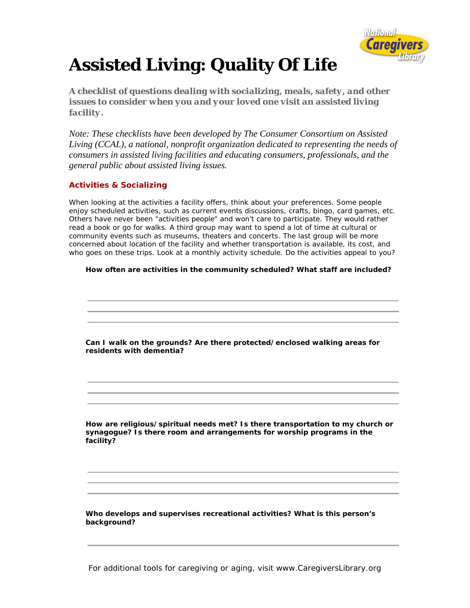

# **Assisted Living: Quality Of Life**

*A checklist of questions dealing with socializing, meals, safety, and other issues to consider when you and your loved one visit an assisted living facility.* 

*Note: These checklists have been developed by The Consumer Consortium on Assisted Living (CCAL), a national, nonprofit organization dedicated to representing the needs of consumers in assisted living facilities and educating consumers, professionals, and the general public about assisted living issues.* 

# **Activities & Socializing**

When looking at the activities a facility offers, think about your preferences. Some people enjoy scheduled activities, such as current events discussions, crafts, bingo, card games, etc. Others have never been "activities people" and won't care to participate. They would rather read a book or go for walks. A third group may want to spend a lot of time at cultural or community events such as museums, theaters and concerts. The last group will be more concerned about location of the facility and whether transportation is available, its cost, and who goes on these trips. Look at a monthly activity schedule. Do the activities appeal to you?

## **How often are activities in the community scheduled? What staff are included?**

 **Can I walk on the grounds? Are there protected/enclosed walking areas for residents with dementia?**

**How are religious/spiritual needs met? Is there transportation to my church or synagogue? Is there room and arrangements for worship programs in the facility?**

 **Who develops and supervises recreational activities? What is this person's background?**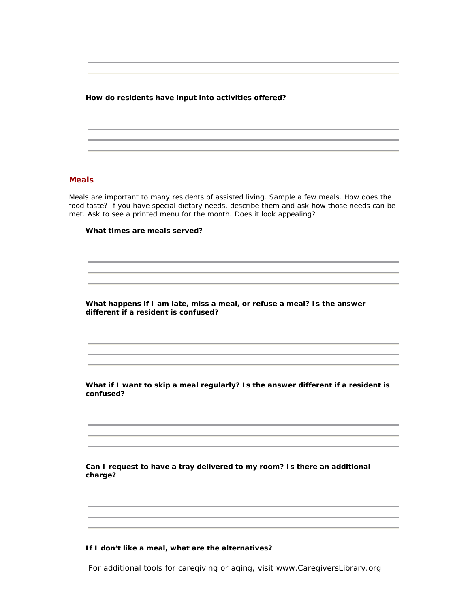**How do residents have input into activities offered?**

### **Meals**

Meals are important to many residents of assisted living. Sample a few meals. How does the food taste? If you have special dietary needs, describe them and ask how those needs can be met. Ask to see a printed menu for the month. Does it look appealing?

#### **What times are meals served?**

 **What happens if I am late, miss a meal, or refuse a meal? Is the answer different if a resident is confused?**

 **What if I want to skip a meal regularly? Is the answer different if a resident is confused?**

 **Can I request to have a tray delivered to my room? Is there an additional charge?**

#### **If I don't like a meal, what are the alternatives?**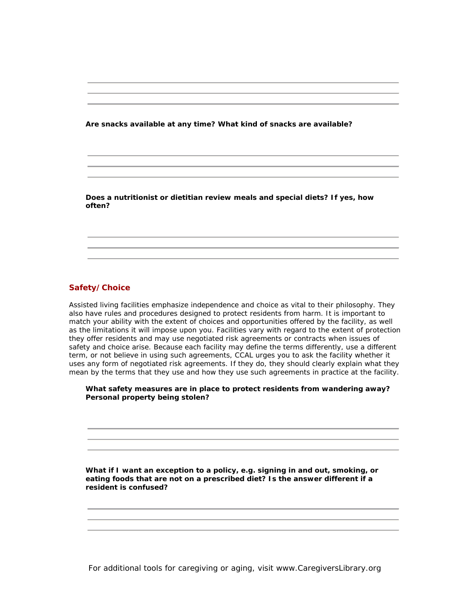**Are snacks available at any time? What kind of snacks are available?**

 **Does a nutritionist or dietitian review meals and special diets? If yes, how often?**

# **Safety/Choice**

Assisted living facilities emphasize independence and choice as vital to their philosophy. They also have rules and procedures designed to protect residents from harm. It is important to match your ability with the extent of choices and opportunities offered by the facility, as well as the limitations it will impose upon you. Facilities vary with regard to the extent of protection they offer residents and may use *negotiated risk agreements* or contracts when issues of safety and choice arise. Because each facility may define the terms differently, use a different term, or not believe in using such agreements, CCAL urges you to ask the facility whether it uses any form of negotiated risk agreements. If they do, they should clearly explain what they mean by the terms that they use and how they use such agreements in practice at the facility.

 **What safety measures are in place to protect residents from wandering away? Personal property being stolen?**

**What if I want an exception to a policy, e.g. signing in and out, smoking, or eating foods that are not on a prescribed diet? Is the answer different if a resident is confused?**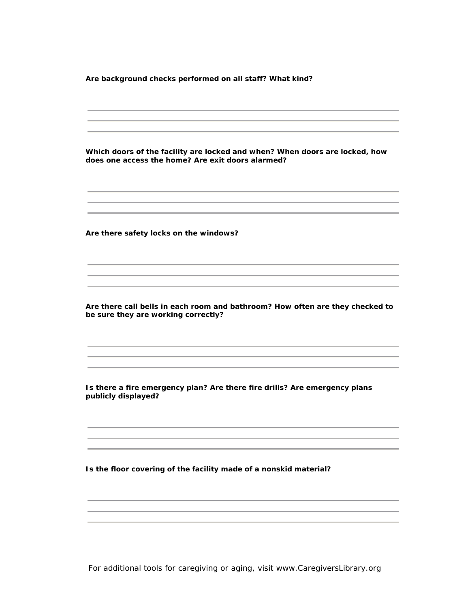**Are background checks performed on all staff? What kind?**

 **Which doors of the facility are locked and when? When doors are locked, how does one access the home? Are exit doors alarmed? Are there safety locks on the windows? Are there call bells in each room and bathroom? How often are they checked to be sure they are working correctly? Is there a fire emergency plan? Are there fire drills? Are emergency plans publicly displayed? Is the floor covering of the facility made of a nonskid material?**